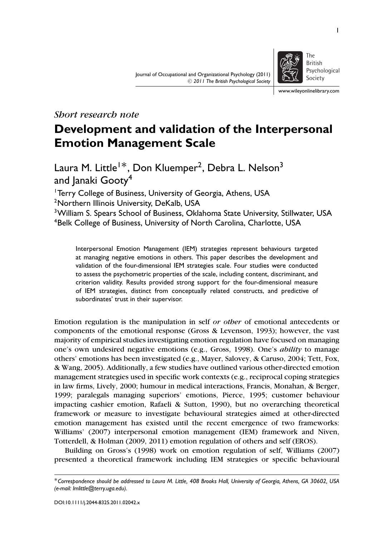www.wileyonlinelibrary.com

# *Short research note*

# **Development and validation of the Interpersonal Emotion Management Scale**

Laura M. Little<sup>1\*</sup>, Don Kluemper<sup>2</sup>, Debra L. Nelson<sup>3</sup> and Janaki Gooty<sup>4</sup>

<sup>1</sup>Terry College of Business, University of Georgia, Athens, USA <sup>2</sup>Northern Illinois University, DeKalb, USA

3William S. Spears School of Business, Oklahoma State University, Stillwater, USA <sup>4</sup>Belk College of Business, University of North Carolina, Charlotte, USA

Interpersonal Emotion Management (IEM) strategies represent behaviours targeted at managing negative emotions in others. This paper describes the development and validation of the four-dimensional IEM strategies scale. Four studies were conducted to assess the psychometric properties of the scale, including content, discriminant, and criterion validity. Results provided strong support for the four-dimensional measure of IEM strategies, distinct from conceptually related constructs, and predictive of subordinates' trust in their supervisor.

Emotion regulation is the manipulation in self *or other* of emotional antecedents or components of the emotional response (Gross & Levenson, 1993); however, the vast majority of empirical studies investigating emotion regulation have focused on managing one's own undesired negative emotions (e.g., Gross, 1998). One's *ability* to manage others' emotions has been investigated (e.g., Mayer, Salovey, & Caruso, 2004; Tett, Fox, & Wang, 2005). Additionally, a few studies have outlined various other-directed emotion management strategies used in specific work contexts (e.g., reciprocal coping strategies in law firms, Lively, 2000; humour in medical interactions, Francis, Monahan, & Berger, 1999; paralegals managing superiors' emotions, Pierce, 1995; customer behaviour impacting cashier emotion, Rafaeli & Sutton, 1990), but no overarching theoretical framework or measure to investigate behavioural strategies aimed at other-directed emotion management has existed until the recent emergence of two frameworks: Williams' (2007) interpersonal emotion management (IEM) framework and Niven, Totterdell, & Holman (2009, 2011) emotion regulation of others and self (EROS).

Building on Gross's (1998) work on emotion regulation of self, Williams (2007) presented a theoretical framework including IEM strategies or specific behavioural

1

<sup>∗</sup>*Correspondence should be addressed to Laura M. Little, 408 Brooks Hall, University of Georgia, Athens, GA 30602, USA (e-mail: lmlittle@terry.uga.edu).*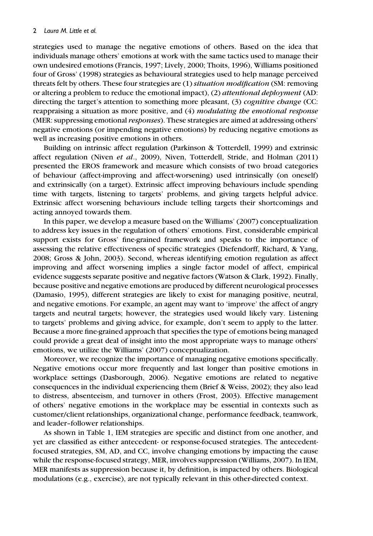strategies used to manage the negative emotions of others. Based on the idea that individuals manage others' emotions at work with the same tactics used to manage their own undesired emotions (Francis, 1997; Lively, 2000; Thoits, 1996), Williams positioned four of Gross' (1998) strategies as behavioural strategies used to help manage perceived threats felt by others. These four strategies are (1) *situation modification* (SM: removing or altering a problem to reduce the emotional impact), (2) *attentional deployment* (AD: directing the target's attention to something more pleasant, (3) *cognitive change* (CC: reappraising a situation as more positive, and (4) *modulating the emotional response* (MER: suppressing emotional *responses*). These strategies are aimed at addressing others' negative emotions (or impending negative emotions) by reducing negative emotions as well as increasing positive emotions in others.

Building on intrinsic affect regulation (Parkinson & Totterdell, 1999) and extrinsic affect regulation (Niven *et al*., 2009), Niven, Totterdell, Stride, and Holman (2011) presented the EROS framework and measure which consists of two broad categories of behaviour (affect-improving and affect-worsening) used intrinsically (on oneself) and extrinsically (on a target). Extrinsic affect improving behaviours include spending time with targets, listening to targets' problems, and giving targets helpful advice. Extrinsic affect worsening behaviours include telling targets their shortcomings and acting annoyed towards them.

In this paper, we develop a measure based on the Williams' (2007) conceptualization to address key issues in the regulation of others' emotions. First, considerable empirical support exists for Gross' fine-grained framework and speaks to the importance of assessing the relative effectiveness of specific strategies (Diefendorff, Richard, & Yang, 2008; Gross & John, 2003). Second, whereas identifying emotion regulation as affect improving and affect worsening implies a single factor model of affect, empirical evidence suggests separate positive and negative factors (Watson & Clark, 1992). Finally, because positive and negative emotions are produced by different neurological processes (Damasio, 1995), different strategies are likely to exist for managing positive, neutral, and negative emotions. For example, an agent may want to 'improve' the affect of angry targets and neutral targets; however, the strategies used would likely vary. Listening to targets' problems and giving advice, for example, don't seem to apply to the latter. Because a more fine-grained approach that specifies the type of emotions being managed could provide a great deal of insight into the most appropriate ways to manage others' emotions, we utilize the Williams' (2007) conceptualization.

Moreover, we recognize the importance of managing negative emotions specifically. Negative emotions occur more frequently and last longer than positive emotions in workplace settings (Dasborough, 2006). Negative emotions are related to negative consequences in the individual experiencing them (Brief & Weiss, 2002); they also lead to distress, absenteeism, and turnover in others (Frost, 2003). Effective management of others' negative emotions in the workplace may be essential in contexts such as customer/client relationships, organizational change, performance feedback, teamwork, and leader–follower relationships.

As shown in Table 1, IEM strategies are specific and distinct from one another, and yet are classified as either antecedent- or response-focused strategies. The antecedentfocused strategies, SM, AD, and CC, involve changing emotions by impacting the cause while the response-focused strategy, MER, involves suppression (Williams, 2007). In IEM, MER manifests as suppression because it, by definition, is impacted by others. Biological modulations (e.g., exercise), are not typically relevant in this other-directed context.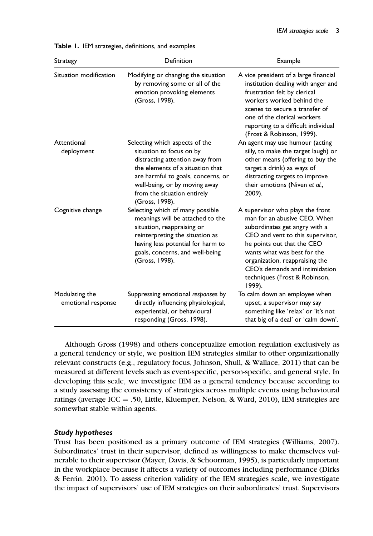| Strategy                             | Definition                                                                                                                                                                                                                                                | Example                                                                                                                                                                                                                                                                                                           |
|--------------------------------------|-----------------------------------------------------------------------------------------------------------------------------------------------------------------------------------------------------------------------------------------------------------|-------------------------------------------------------------------------------------------------------------------------------------------------------------------------------------------------------------------------------------------------------------------------------------------------------------------|
| Situation modification               | Modifying or changing the situation<br>by removing some or all of the<br>emotion provoking elements<br>(Gross, 1998).                                                                                                                                     | A vice president of a large financial<br>institution dealing with anger and<br>frustration felt by clerical<br>workers worked behind the<br>scenes to secure a transfer of<br>one of the clerical workers<br>reporting to a difficult individual<br>(Frost & Robinson, 1999).                                     |
| Attentional<br>deployment            | Selecting which aspects of the<br>situation to focus on by<br>distracting attention away from<br>the elements of a situation that<br>are harmful to goals, concerns, or<br>well-being, or by moving away<br>from the situation entirely<br>(Gross, 1998). | An agent may use humour (acting<br>silly, to make the target laugh) or<br>other means (offering to buy the<br>target a drink) as ways of<br>distracting targets to improve<br>their emotions (Niven et al.,<br>2009).                                                                                             |
| Cognitive change                     | Selecting which of many possible<br>meanings will be attached to the<br>situation, reappraising or<br>reinterpreting the situation as<br>having less potential for harm to<br>goals, concerns, and well-being<br>(Gross, 1998).                           | A supervisor who plays the front<br>man for an abusive CEO. When<br>subordinates get angry with a<br>CEO and vent to this supervisor,<br>he points out that the CEO<br>wants what was best for the<br>organization, reappraising the<br>CEO's demands and intimidation<br>techniques (Frost & Robinson,<br>1999). |
| Modulating the<br>emotional response | Suppressing emotional responses by<br>directly influencing physiological,<br>experiential, or behavioural<br>responding (Gross, 1998).                                                                                                                    | To calm down an employee when<br>upset, a supervisor may say<br>something like 'relax' or 'it's not<br>that big of a deal' or 'calm down'.                                                                                                                                                                        |

**Table 1.** IEM strategies, definitions, and examples

Although Gross (1998) and others conceptualize emotion regulation exclusively as a general tendency or style, we position IEM strategies similar to other organizationally relevant constructs (e.g., regulatory focus, Johnson, Shull, & Wallace, 2011) that can be measured at different levels such as event-specific, person-specific, and general style. In developing this scale, we investigate IEM as a general tendency because according to a study assessing the consistency of strategies across multiple events using behavioural ratings (average ICC = .50, Little, Kluemper, Nelson, & Ward, 2010), IEM strategies are somewhat stable within agents.

#### *Study hypotheses*

Trust has been positioned as a primary outcome of IEM strategies (Williams, 2007). Subordinates' trust in their supervisor, defined as willingness to make themselves vulnerable to their supervisor (Mayer, Davis, & Schoorman, 1995), is particularly important in the workplace because it affects a variety of outcomes including performance (Dirks & Ferrin, 2001). To assess criterion validity of the IEM strategies scale, we investigate the impact of supervisors' use of IEM strategies on their subordinates' trust. Supervisors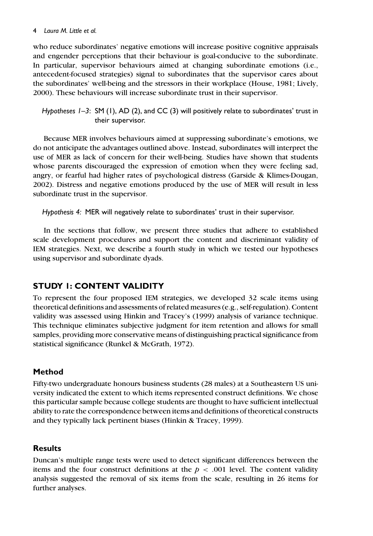#### 4 *Laura M. Little et al.*

who reduce subordinates' negative emotions will increase positive cognitive appraisals and engender perceptions that their behaviour is goal-conducive to the subordinate. In particular, supervisor behaviours aimed at changing subordinate emotions (i.e., antecedent-focused strategies) signal to subordinates that the supervisor cares about the subordinates' well-being and the stressors in their workplace (House, 1981; Lively, 2000). These behaviours will increase subordinate trust in their supervisor.

*Hypotheses 1–3*: SM (1), AD (2), and CC (3) will positively relate to subordinates' trust in their supervisor.

Because MER involves behaviours aimed at suppressing subordinate's emotions, we do not anticipate the advantages outlined above. Instead, subordinates will interpret the use of MER as lack of concern for their well-being. Studies have shown that students whose parents discouraged the expression of emotion when they were feeling sad, angry, or fearful had higher rates of psychological distress (Garside & Klimes-Dougan, 2002). Distress and negative emotions produced by the use of MER will result in less subordinate trust in the supervisor.

*Hypothesis 4:* MER will negatively relate to subordinates' trust in their supervisor.

In the sections that follow, we present three studies that adhere to established scale development procedures and support the content and discriminant validity of IEM strategies. Next, we describe a fourth study in which we tested our hypotheses using supervisor and subordinate dyads.

# **STUDY 1: CONTENT VALIDITY**

To represent the four proposed IEM strategies, we developed 32 scale items using theoretical definitions and assessments of related measures (e.g., self-regulation). Content validity was assessed using Hinkin and Tracey's (1999) analysis of variance technique. This technique eliminates subjective judgment for item retention and allows for small samples, providing more conservative means of distinguishing practical significance from statistical significance (Runkel & McGrath, 1972).

### **Method**

Fifty-two undergraduate honours business students (28 males) at a Southeastern US university indicated the extent to which items represented construct definitions. We chose this particular sample because college students are thought to have sufficient intellectual ability to rate the correspondence between items and definitions of theoretical constructs and they typically lack pertinent biases (Hinkin & Tracey, 1999).

### **Results**

Duncan's multiple range tests were used to detect significant differences between the items and the four construct definitions at the  $p < .001$  level. The content validity analysis suggested the removal of six items from the scale, resulting in 26 items for further analyses.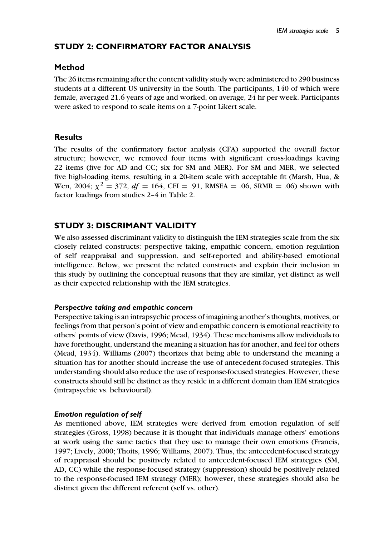# **STUDY 2: CONFIRMATORY FACTOR ANALYSIS**

# **Method**

The 26 items remaining after the content validity study were administered to 290 business students at a different US university in the South. The participants, 140 of which were female, averaged 21.6 years of age and worked, on average, 24 hr per week. Participants were asked to respond to scale items on a 7-point Likert scale.

### **Results**

The results of the confirmatory factor analysis (CFA) supported the overall factor structure; however, we removed four items with significant cross-loadings leaving 22 items (five for AD and CC; six for SM and MER). For SM and MER, we selected five high-loading items, resulting in a 20-item scale with acceptable fit (Marsh, Hua, & Wen, 2004;  $\chi^2 = 372$ ,  $df = 164$ , CFI = .91, RMSEA = .06, SRMR = .06) shown with factor loadings from studies 2–4 in Table 2.

# **STUDY 3: DISCRIMANT VALIDITY**

We also assessed discriminant validity to distinguish the IEM strategies scale from the six closely related constructs: perspective taking, empathic concern, emotion regulation of self reappraisal and suppression, and self-reported and ability-based emotional intelligence. Below, we present the related constructs and explain their inclusion in this study by outlining the conceptual reasons that they are similar, yet distinct as well as their expected relationship with the IEM strategies.

### *Perspective taking and empathic concern*

Perspective taking is an intrapsychic process of imagining another's thoughts, motives, or feelings from that person's point of view and empathic concern is emotional reactivity to others' points of view (Davis, 1996; Mead, 1934). These mechanisms allow individuals to have forethought, understand the meaning a situation has for another, and feel for others (Mead, 1934). Williams (2007) theorizes that being able to understand the meaning a situation has for another should increase the use of antecedent-focused strategies. This understanding should also reduce the use of response-focused strategies. However, these constructs should still be distinct as they reside in a different domain than IEM strategies (intrapsychic vs. behavioural).

### *Emotion regulation of self*

As mentioned above, IEM strategies were derived from emotion regulation of self strategies (Gross, 1998) because it is thought that individuals manage others' emotions at work using the same tactics that they use to manage their own emotions (Francis, 1997; Lively, 2000; Thoits, 1996; Williams, 2007). Thus, the antecedent-focused strategy of reappraisal should be positively related to antecedent-focused IEM strategies (SM, AD, CC) while the response-focused strategy (suppression) should be positively related to the response-focused IEM strategy (MER); however, these strategies should also be distinct given the different referent (self vs. other).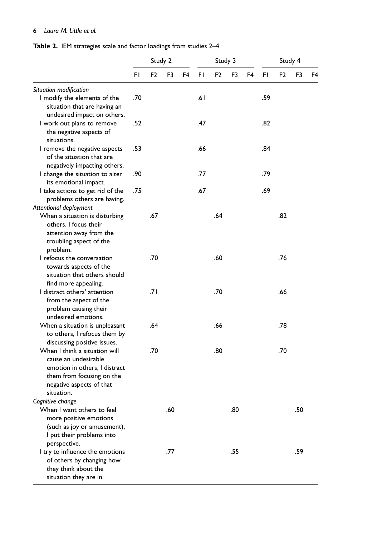### 6 *Laura M. Little et al.*

**Table 2.** IEM strategies scale and factor loadings from studies 2–4

|                                                                                                                                                               |     | Study 2 |     |    |     | Study 3 |     |    |     | Study 4        |     |    |
|---------------------------------------------------------------------------------------------------------------------------------------------------------------|-----|---------|-----|----|-----|---------|-----|----|-----|----------------|-----|----|
|                                                                                                                                                               | FΙ  | F2      | F3  | F4 | FI. | F2      | F3  | F4 | FΙ  | F <sub>2</sub> | F3  | F4 |
| Situation modification                                                                                                                                        |     |         |     |    |     |         |     |    |     |                |     |    |
| I modify the elements of the<br>situation that are having an<br>undesired impact on others.                                                                   | .70 |         |     |    | .6۱ |         |     |    | .59 |                |     |    |
| I work out plans to remove<br>the negative aspects of<br>situations.                                                                                          | .52 |         |     |    | .47 |         |     |    | .82 |                |     |    |
| I remove the negative aspects<br>of the situation that are<br>negatively impacting others.                                                                    | .53 |         |     |    | .66 |         |     |    | .84 |                |     |    |
| I change the situation to alter<br>its emotional impact.                                                                                                      | .90 |         |     |    | .77 |         |     |    | .79 |                |     |    |
| I take actions to get rid of the<br>problems others are having.                                                                                               | .75 |         |     |    | .67 |         |     |    | .69 |                |     |    |
| Attentional deployment                                                                                                                                        |     |         |     |    |     |         |     |    |     |                |     |    |
| When a situation is disturbing<br>others. I focus their<br>attention away from the<br>troubling aspect of the<br>problem.                                     |     | .67     |     |    |     | .64     |     |    |     | .82            |     |    |
| I refocus the conversation<br>towards aspects of the<br>situation that others should<br>find more appealing.                                                  |     | .70     |     |    |     | .60     |     |    |     | .76            |     |    |
| I distract others' attention<br>from the aspect of the<br>problem causing their<br>undesired emotions.                                                        |     | 7١.     |     |    |     | .70     |     |    |     | .66            |     |    |
| When a situation is unpleasant<br>to others, I refocus them by<br>discussing positive issues.                                                                 |     | .64     |     |    |     | .66     |     |    |     | .78            |     |    |
| When I think a situation will<br>cause an undesirable<br>emotion in others, I distract<br>them from focusing on the<br>negative aspects of that<br>situation. |     | .70     |     |    |     | .80     |     |    |     | .70            |     |    |
| Cognitive change                                                                                                                                              |     |         |     |    |     |         |     |    |     |                |     |    |
| When I want others to feel<br>more positive emotions<br>(such as joy or amusement),<br>I put their problems into<br>perspective.                              |     |         | .60 |    |     |         | .80 |    |     |                | .50 |    |
| I try to influence the emotions<br>of others by changing how<br>they think about the<br>situation they are in.                                                |     |         | .77 |    |     |         | .55 |    |     |                | .59 |    |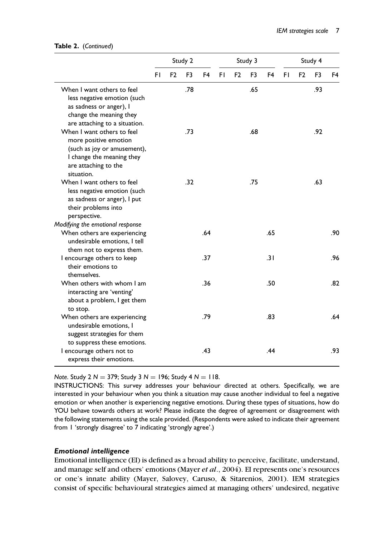|                                                                                                                                                       |    |                | Study 2        |                |     |                | Study 3        |                |     |                | Study 4        |                |
|-------------------------------------------------------------------------------------------------------------------------------------------------------|----|----------------|----------------|----------------|-----|----------------|----------------|----------------|-----|----------------|----------------|----------------|
|                                                                                                                                                       | F١ | F <sub>2</sub> | F <sub>3</sub> | F <sub>4</sub> | FI. | F <sub>2</sub> | F <sub>3</sub> | F <sub>4</sub> | FI. | F <sub>2</sub> | F <sub>3</sub> | F <sub>4</sub> |
| When I want others to feel<br>less negative emotion (such<br>as sadness or anger), I<br>change the meaning they<br>are attaching to a situation.      |    |                | .78            |                |     |                | .65            |                |     |                | .93            |                |
| When I want others to feel<br>more positive emotion<br>(such as joy or amusement),<br>I change the meaning they<br>are attaching to the<br>situation. |    |                | .73            |                |     |                | .68            |                |     |                | .92            |                |
| When I want others to feel<br>less negative emotion (such<br>as sadness or anger), I put<br>their problems into<br>perspective.                       |    |                | .32            |                |     |                | .75            |                |     |                | .63            |                |
| Modifying the emotional response                                                                                                                      |    |                |                |                |     |                |                |                |     |                |                |                |
| When others are experiencing<br>undesirable emotions, I tell<br>them not to express them.                                                             |    |                |                | .64            |     |                |                | .65            |     |                |                | .90            |
| I encourage others to keep<br>their emotions to<br>themselves.                                                                                        |    |                |                | .37            |     |                |                | .31            |     |                |                | .96            |
| When others with whom I am<br>interacting are 'venting'<br>about a problem, I get them<br>to stop.                                                    |    |                |                | .36            |     |                |                | .50            |     |                |                | .82            |
| When others are experiencing<br>undesirable emotions, I<br>suggest strategies for them<br>to suppress these emotions.                                 |    |                |                | .79            |     |                |                | .83            |     |                |                | .64            |
| I encourage others not to<br>express their emotions.                                                                                                  |    |                |                | .43            |     |                |                | .44            |     |                |                | .93            |

#### **Table 2.** (*Continued*)

*Note*. Study 2 *N* = 379; Study 3 *N* = 196; Study 4 *N* = 118.

INSTRUCTIONS: This survey addresses your behaviour directed at others. Specifically, we are interested in your behaviour when you think a situation may cause another individual to feel a negative emotion or when another is experiencing negative emotions. During these types of situations, how do YOU behave towards others at work? Please indicate the degree of agreement or disagreement with the following statements using the scale provided. (Respondents were asked to indicate their agreement from 1 'strongly disagree' to 7 indicating 'strongly agree'.)

#### *Emotional intelligence*

Emotional intelligence (EI) is defined as a broad ability to perceive, facilitate, understand, and manage self and others' emotions (Mayer *et al*., 2004). EI represents one's resources or one's innate ability (Mayer, Salovey, Caruso, & Sitarenios, 2001). IEM strategies consist of specific behavioural strategies aimed at managing others' undesired, negative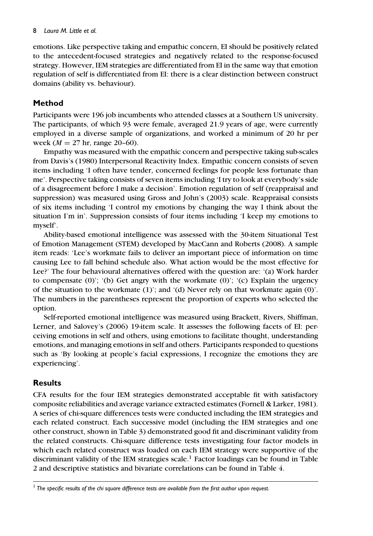emotions. Like perspective taking and empathic concern, EI should be positively related to the antecedent-focused strategies and negatively related to the response-focused strategy. However, IEM strategies are differentiated from EI in the same way that emotion regulation of self is differentiated from EI: there is a clear distinction between construct domains (ability vs. behaviour).

# **Method**

Participants were 196 job incumbents who attended classes at a Southern US university. The participants, of which 93 were female, averaged 21.9 years of age, were currently employed in a diverse sample of organizations, and worked a minimum of 20 hr per week ( $M = 27$  hr, range 20-60).

Empathy was measured with the empathic concern and perspective taking sub-scales from Davis's (1980) Interpersonal Reactivity Index. Empathic concern consists of seven items including 'I often have tender, concerned feelings for people less fortunate than me'. Perspective taking consists of seven items including 'I try to look at everybody's side of a disagreement before I make a decision'. Emotion regulation of self (reappraisal and suppression) was measured using Gross and John's (2003) scale. Reappraisal consists of six items including 'I control my emotions by changing the way I think about the situation I'm in'. Suppression consists of four items including 'I keep my emotions to myself'.

Ability-based emotional intelligence was assessed with the 30-item Situational Test of Emotion Management (STEM) developed by MacCann and Roberts (2008). A sample item reads: 'Lee's workmate fails to deliver an important piece of information on time causing Lee to fall behind schedule also. What action would be the most effective for Lee?' The four behavioural alternatives offered with the question are: '(a) Work harder to compensate  $(0)$ '; '(b) Get angry with the workmate  $(0)$ '; '(c) Explain the urgency of the situation to the workmate  $(1)$ '; and  $'(d)$  Never rely on that workmate again  $(0)$ '. The numbers in the parentheses represent the proportion of experts who selected the option.

Self-reported emotional intelligence was measured using Brackett, Rivers, Shiffman, Lerner, and Salovey's (2006) 19-item scale. It assesses the following facets of EI: perceiving emotions in self and others, using emotions to facilitate thought, understanding emotions, and managing emotions in self and others. Participants responded to questions such as 'By looking at people's facial expressions, I recognize the emotions they are experiencing'.

# **Results**

CFA results for the four IEM strategies demonstrated acceptable fit with satisfactory composite reliabilities and average variance extracted estimates (Fornell & Larker, 1981). A series of chi-square differences tests were conducted including the IEM strategies and each related construct. Each successive model (including the IEM strategies and one other construct, shown in Table 3) demonstrated good fit and discriminant validity from the related constructs. Chi-square difference tests investigating four factor models in which each related construct was loaded on each IEM strategy were supportive of the discriminant validity of the IEM strategies scale.<sup>1</sup> Factor loadings can be found in Table 2 and descriptive statistics and bivariate correlations can be found in Table 4.

<sup>1</sup> *The specific results of the chi square difference tests are available from the first author upon request.*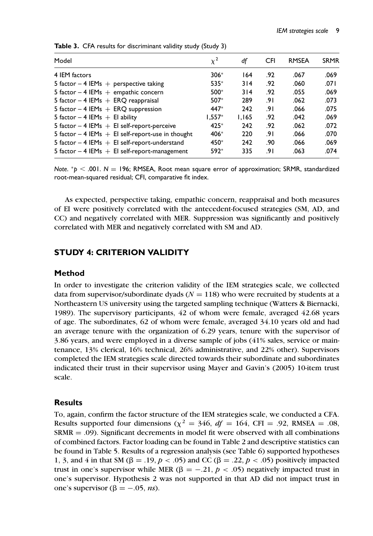| Model                                                | $\chi^2$ | df     | <b>CFI</b> | <b>RMSEA</b> | <b>SRMR</b> |
|------------------------------------------------------|----------|--------|------------|--------------|-------------|
| 4 IEM factors                                        | $306*$   | 164    | .92        | .067         | .069        |
| 5 factor $-$ 4 IEMs $+$ perspective taking           | $535*$   | 314    | .92        | .060         | .071        |
| 5 factor $-4$ IEMs $+$ empathic concern              | 500*     | 314    | .92        | .055         | .069        |
| 5 factor $-4$ IEMs $+$ ERQ reappraisal               | $507*$   | 289    | 9۱.        | .062         | .073        |
| 5 factor $-4$ IEMs $+$ ERQ suppression               | 447*     | 242    | 9۱.        | .066         | .075        |
| 5 factor $-4$ IEMs $+$ El ability                    | $1.557*$ | I, 165 | .92        | .042         | .069        |
| 5 factor $-4$ IEMs $+$ El self-report-perceive       | $425*$   | 242    | .92        | .062         | .072        |
| 5 factor $-4$ IEMs $+$ El self-report-use in thought | 406*     | 220    | 9۱.        | .066         | .070        |
| 5 factor $-4$ IEMs $+$ El self-report-understand     | 450*     | 242    | .90        | .066         | .069        |
| 5 factor $-4$ IEMs $+$ El self-report-management     | $592*$   | 335    | 9۱.        | .063         | .074        |

**Table 3.** CFA results for discriminant validity study (Study 3)

*Note.* \*p < .001. *N* = 196; RMSEA, Root mean square error of approximation; SRMR, standardized root-mean-squared residual; CFI, comparative fit index.

As expected, perspective taking, empathic concern, reappraisal and both measures of EI were positively correlated with the antecedent-focused strategies (SM, AD, and CC) and negatively correlated with MER. Suppression was significantly and positively correlated with MER and negatively correlated with SM and AD.

### **STUDY 4: CRITERION VALIDITY**

#### **Method**

In order to investigate the criterion validity of the IEM strategies scale, we collected data from supervisor/subordinate dyads  $(N = 118)$  who were recruited by students at a Northeastern US university using the targeted sampling technique (Watters & Biernacki, 1989). The supervisory participants, 42 of whom were female, averaged 42.68 years of age. The subordinates, 62 of whom were female, averaged 34.10 years old and had an average tenure with the organization of 6.29 years, tenure with the supervisor of 3.86 years, and were employed in a diverse sample of jobs (41% sales, service or maintenance, 13% clerical, 16% technical, 26% administrative, and 22% other). Supervisors completed the IEM strategies scale directed towards their subordinate and subordinates indicated their trust in their supervisor using Mayer and Gavin's (2005) 10-item trust scale.

#### **Results**

To, again, confirm the factor structure of the IEM strategies scale, we conducted a CFA. Results supported four dimensions ( $\chi^2 = 346$ ,  $df = 164$ , CFI = .92, RMSEA = .08, SRMR = .09). Significant decrements in model fit were observed with all combinations of combined factors. Factor loading can be found in Table 2 and descriptive statistics can be found in Table 5. Results of a regression analysis (see Table 6) supported hypotheses 1, 3, and 4 in that SM ( $\beta = .19$ ,  $p < .05$ ) and CC ( $\beta = .22$ ,  $p < .05$ ) positively impacted trust in one's supervisor while MER ( $\beta = -.21$ ,  $p < .05$ ) negatively impacted trust in one's supervisor. Hypothesis 2 was not supported in that AD did not impact trust in one's supervisor ( $\beta = -.05$ , *ns*).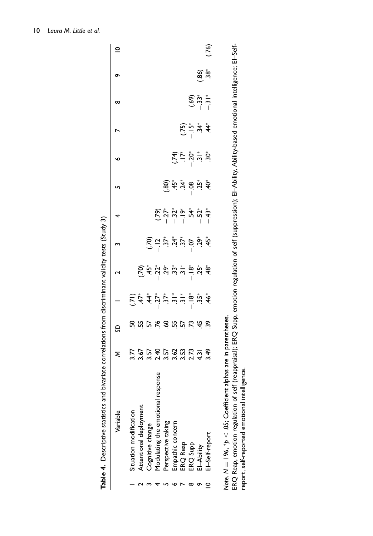| Variable                                                              | ξ | S         |                                                                                                                                                                                                                                                             |  |                                                                                                                                  |                                 | ۰                |                                                         | ∞               | ᡡ               | $\overline{a}$ |
|-----------------------------------------------------------------------|---|-----------|-------------------------------------------------------------------------------------------------------------------------------------------------------------------------------------------------------------------------------------------------------------|--|----------------------------------------------------------------------------------------------------------------------------------|---------------------------------|------------------|---------------------------------------------------------|-----------------|-----------------|----------------|
| Situation modification                                                |   | č         |                                                                                                                                                                                                                                                             |  |                                                                                                                                  |                                 |                  |                                                         |                 |                 |                |
| Attentional deployment                                                |   |           | $\frac{1}{2}$ $\frac{1}{2}$ $\frac{1}{2}$ $\frac{1}{2}$ $\frac{1}{2}$ $\frac{1}{2}$ $\frac{1}{2}$ $\frac{1}{2}$ $\frac{1}{2}$ $\frac{1}{2}$ $\frac{1}{2}$ $\frac{1}{2}$ $\frac{1}{2}$ $\frac{1}{2}$ $\frac{1}{2}$ $\frac{1}{2}$ $\frac{1}{2}$ $\frac{1}{2}$ |  |                                                                                                                                  |                                 |                  |                                                         |                 |                 |                |
| Cognitive change                                                      |   |           |                                                                                                                                                                                                                                                             |  |                                                                                                                                  |                                 |                  |                                                         |                 |                 |                |
| onse<br>Modulating the emotional resp                                 |   |           |                                                                                                                                                                                                                                                             |  |                                                                                                                                  |                                 |                  |                                                         |                 |                 |                |
| Perspective taking                                                    |   | 556955548 |                                                                                                                                                                                                                                                             |  | ڰ<br>ڋ؉ٙۑ<br>ۮ؊ڋ؊؞<br>ۮڋ؊ڋ                                                                                                       |                                 |                  |                                                         |                 |                 |                |
| Empathic concern                                                      |   |           |                                                                                                                                                                                                                                                             |  |                                                                                                                                  |                                 |                  |                                                         |                 |                 |                |
| ERQ Reap                                                              |   |           |                                                                                                                                                                                                                                                             |  |                                                                                                                                  |                                 |                  |                                                         |                 |                 |                |
| ERQ Supp                                                              |   |           |                                                                                                                                                                                                                                                             |  |                                                                                                                                  |                                 |                  |                                                         |                 |                 |                |
| El-Ability                                                            |   |           |                                                                                                                                                                                                                                                             |  |                                                                                                                                  | 9 پُو یو چه چه<br>9 په چه چه چه | ن نے پانے کے نام | $\frac{1}{2}$ $\frac{1}{2}$ $\frac{3}{4}$ $\frac{4}{4}$ | يا -<br>- ئان - |                 |                |
| El-Self-report                                                        |   |           |                                                                                                                                                                                                                                                             |  |                                                                                                                                  |                                 |                  |                                                         |                 | $\frac{36}{35}$ | (76)           |
|                                                                       |   |           |                                                                                                                                                                                                                                                             |  |                                                                                                                                  |                                 |                  |                                                         |                 |                 |                |
| Note. $N = 196$ , $*p < .05$ ; Coefficient alphas are in parentheses. |   |           |                                                                                                                                                                                                                                                             |  |                                                                                                                                  |                                 |                  |                                                         |                 |                 |                |
| ERQ Reap, emotion regulation of sel                                   |   |           |                                                                                                                                                                                                                                                             |  | If (reappraisal); ERQ Supp, emotion regulation of self (suppression); EI-Ability, Ability-based emotional intelligence; EI-Self- |                                 |                  |                                                         |                 |                 |                |

| !           |
|-------------|
|             |
| .<br>.      |
|             |
|             |
|             |
| 5<br>3<br>3 |
|             |
|             |
|             |
| l.<br>ļ     |

report, self-reported emotional intelligence. report, self-reported emotional intelligence.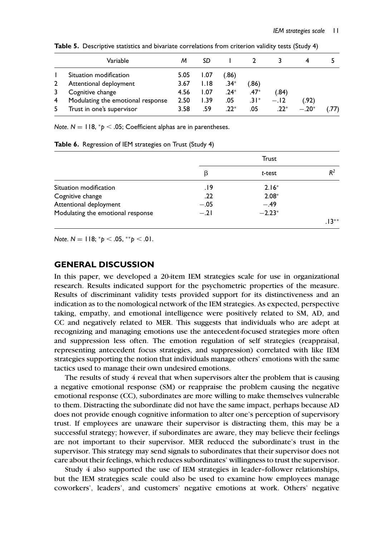|   | Variable                          | м    | SD   |        |        |        |         |  |
|---|-----------------------------------|------|------|--------|--------|--------|---------|--|
|   | Situation modification            | 5.05 | 1.07 | (.86)  |        |        |         |  |
|   | Attentional deployment            | 3.67 | 1.18 | $.34*$ | (.86)  |        |         |  |
| 3 | Cognitive change                  | 4.56 | 1.07 | $.24*$ | $.47*$ | (.84)  |         |  |
| 4 | Modulating the emotional response | 2.50 | 1.39 | .05    | $.31*$ | $-.12$ | (.92)   |  |
| 5 | Trust in one's supervisor         | 3.58 | .59  | $.22*$ | .05    | $.22*$ | $-.20*$ |  |

**Table 5.** Descriptive statistics and bivariate correlations from criterion validity tests (Study 4)

*Note.*  $N = 118$ ,  $p < .05$ ; Coefficient alphas are in parentheses.

**Table 6.** Regression of IEM strategies on Trust (Study 4)

|                                   |        | <b>Trust</b> |        |
|-----------------------------------|--------|--------------|--------|
|                                   | ß      | t-test       | $R^2$  |
| Situation modification            | 19.    | $2.16*$      |        |
| Cognitive change                  | .22    | $2.08*$      |        |
| Attentional deployment            | $-.05$ | $-.49$       |        |
| Modulating the emotional response | $-.21$ | $-2.23*$     |        |
|                                   |        |              | $13**$ |

*Note.*  $N = 118$ ;  ${}^*p < .05$ ,  ${}^{**}p < .01$ .

### **GENERAL DISCUSSION**

In this paper, we developed a 20-item IEM strategies scale for use in organizational research. Results indicated support for the psychometric properties of the measure. Results of discriminant validity tests provided support for its distinctiveness and an indication as to the nomological network of the IEM strategies. As expected, perspective taking, empathy, and emotional intelligence were positively related to SM, AD, and CC and negatively related to MER. This suggests that individuals who are adept at recognizing and managing emotions use the antecedent-focused strategies more often and suppression less often. The emotion regulation of self strategies (reappraisal, representing antecedent focus strategies, and suppression) correlated with like IEM strategies supporting the notion that individuals manage others' emotions with the same tactics used to manage their own undesired emotions.

The results of study 4 reveal that when supervisors alter the problem that is causing a negative emotional response (SM) or reappraise the problem causing the negative emotional response (CC), subordinates are more willing to make themselves vulnerable to them. Distracting the subordinate did not have the same impact, perhaps because AD does not provide enough cognitive information to alter one's perception of supervisory trust. If employees are unaware their supervisor is distracting them, this may be a successful strategy; however, if subordinates are aware, they may believe their feelings are not important to their supervisor. MER reduced the subordinate's trust in the supervisor. This strategy may send signals to subordinates that their supervisor does not care about their feelings, which reduces subordinates' willingness to trust the supervisor.

Study 4 also supported the use of IEM strategies in leader–follower relationships, but the IEM strategies scale could also be used to examine how employees manage coworkers', leaders', and customers' negative emotions at work. Others' negative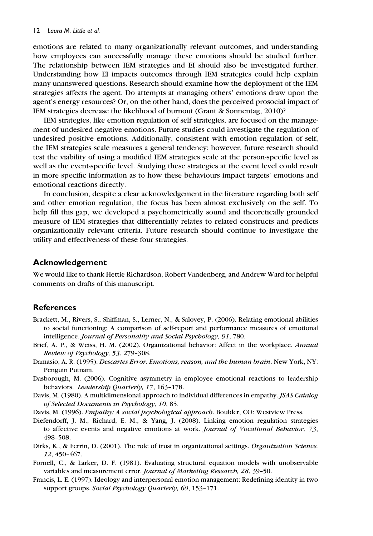emotions are related to many organizationally relevant outcomes, and understanding how employees can successfully manage these emotions should be studied further. The relationship between IEM strategies and EI should also be investigated further. Understanding how EI impacts outcomes through IEM strategies could help explain many unanswered questions. Research should examine how the deployment of the IEM strategies affects the agent. Do attempts at managing others' emotions draw upon the agent's energy resources? Or, on the other hand, does the perceived prosocial impact of IEM strategies decrease the likelihood of burnout (Grant & Sonnentag, 2010)?

IEM strategies, like emotion regulation of self strategies, are focused on the management of undesired negative emotions. Future studies could investigate the regulation of undesired positive emotions. Additionally, consistent with emotion regulation of self, the IEM strategies scale measures a general tendency; however, future research should test the viability of using a modified IEM strategies scale at the person-specific level as well as the event-specific level. Studying these strategies at the event level could result in more specific information as to how these behaviours impact targets' emotions and emotional reactions directly.

In conclusion, despite a clear acknowledgement in the literature regarding both self and other emotion regulation, the focus has been almost exclusively on the self. To help fill this gap, we developed a psychometrically sound and theoretically grounded measure of IEM strategies that differentially relates to related constructs and predicts organizationally relevant criteria. Future research should continue to investigate the utility and effectiveness of these four strategies.

#### **Acknowledgement**

We would like to thank Hettie Richardson, Robert Vandenberg, and Andrew Ward for helpful comments on drafts of this manuscript.

#### **References**

- Brackett, M., Rivers, S., Shiffman, S., Lerner, N., & Salovey, P. (2006). Relating emotional abilities to social functioning: A comparison of self-report and performance measures of emotional intelligence. *Journal of Personality and Social Psychology, 91*, 780.
- Brief, A. P., & Weiss, H. M. (2002). Organizational behavior: Affect in the workplace. *Annual Review of Psychology, 53*, 279–308.
- Damasio, A. R. (1995). *Descartes Error: Emotions, reason, and the human brain*. New York, NY: Penguin Putnam.
- Dasborough, M. (2006). Cognitive asymmetry in employee emotional reactions to leadership behaviors. *Leadership Quarterly, 17*, 163–178.
- Davis, M. (1980). A multidimensional approach to individual differences in empathy. *JSAS Catalog of Selected Documents in Psychology, 10*, 85.
- Davis, M. (1996). *Empathy: A social psychological approach*. Boulder, CO: Westview Press.
- Diefendorff, J. M., Richard, E. M., & Yang, J. (2008). Linking emotion regulation strategies to affective events and negative emotions at work. *Journal of Vocational Behavior, 73*, 498–508.
- Dirks, K., & Ferrin, D. (2001). The role of trust in organizational settings. *Organization Science, 12*, 450–467.
- Fornell, C., & Larker, D. F. (1981). Evaluating structural equation models with unobservable variables and measurement error. *Journal of Marketing Research, 28*, 39–50.
- Francis, L. E. (1997). Ideology and interpersonal emotion management: Redefining identity in two support groups. *Social Psychology Quarterly, 60*, 153–171.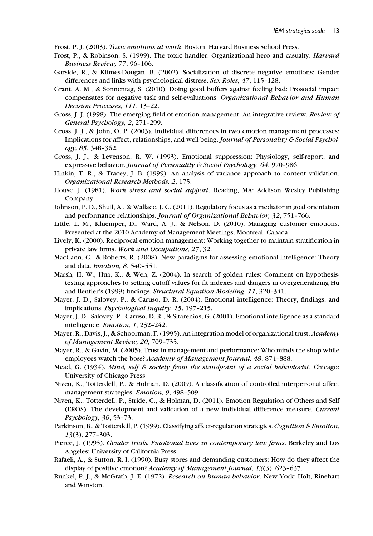Frost, P. J. (2003). *Toxic emotions at work*. Boston: Harvard Business School Press.

- Frost, P., & Robinson, S. (1999). The toxic handler: Organizational hero and casualty. *Harvard Business Review, 77*, 96–106.
- Garside, R., & Klimes-Dougan, B. (2002). Socialization of discrete negative emotions: Gender differences and links with psychological distress. *Sex Roles, 47*, 115–128.
- Grant, A. M., & Sonnentag, S. (2010). Doing good buffers against feeling bad: Prosocial impact compensates for negative task and self-evaluations. *Organizational Behavior and Human Decision Processes, 111*, 13–22.
- Gross, J. J. (1998). The emerging field of emotion management: An integrative review. *Review of General Psychology, 2*, 271–299.
- Gross, J. J., & John, O. P. (2003). Individual differences in two emotion management processes: Implications for affect, relationships, and well-being. *Journal of Personality & Social Psychology, 85*, 348–362.
- Gross, J. J., & Levenson, R. W. (1993). Emotional suppression: Physiology, self-report, and expressive behavior. *Journal of Personality & Social Psychology, 64*, 970–986.
- Hinkin, T. R., & Tracey, J. B. (1999). An analysis of variance approach to content validation. *Organizational Research Methods, 2*, 175.
- House, J. (1981). *Work stress and social support*. Reading, MA: Addison Wesley Publishing Company.
- Johnson, P. D., Shull, A., & Wallace, J. C. (2011). Regulatory focus as a mediator in goal orientation and performance relationships. *Journal of Organizational Behavior, 32*, 751–766.
- Little, L. M., Kluemper, D., Ward, A. J., & Nelson, D. (2010). Managing customer emotions. Presented at the 2010 Academy of Management Meetings, Montreal, Canada.
- Lively, K. (2000). Reciprocal emotion management: Working together to maintain stratification in private law firms. *Work and Occupations, 27*, 32.
- MacCann, C., & Roberts, R. (2008). New paradigms for assessing emotional intelligence: Theory and data. *Emotion, 8*, 540–551.
- Marsh, H. W., Hua, K., & Wen, Z. (2004). In search of golden rules: Comment on hypothesistesting approaches to setting cutoff values for fit indexes and dangers in overgeneralizing Hu and Bentler's (1999) findings. *Structural Equation Modeling, 11*, 320–341.
- Mayer, J. D., Salovey, P., & Caruso, D. R. (2004). Emotional intelligence: Theory, findings, and implications. *Psychological Inquiry, 15*, 197–215.
- Mayer, J. D., Salovey, P., Caruso, D. R., & Sitarenios, G. (2001). Emotional intelligence as a standard intelligence. *Emotion, 1*, 232–242.
- Mayer, R., Davis, J., & Schoorman, F. (1995). An integration model of organizational trust. *Academy of Management Review, 20*, 709–735.
- Mayer, R., & Gavin, M. (2005). Trust in management and performance: Who minds the shop while employees watch the boss? *Academy of Management Journal, 48*, 874–888.
- Mead, G. (1934). *Mind, self & society from the standpoint of a social behaviorist*. Chicago: University of Chicago Press.
- Niven, K., Totterdell, P., & Holman, D. (2009). A classification of controlled interpersonal affect management strategies. *Emotion, 9*, 498–509.
- Niven, K., Totterdell, P., Stride, C., & Holman, D. (2011). Emotion Regulation of Others and Self (EROS): The development and validation of a new individual difference measure. *Current Psychology, 30*, 53–73.
- Parkinson, B., & Totterdell, P. (1999). Classifying affect-regulation strategies. *Cognition & Emotion, 13*(3), 277–303.
- Pierce, J. (1995). *Gender trials: Emotional lives in contemporary law firms*. Berkeley and Los Angeles: University of California Press.
- Rafaeli, A., & Sutton, R. I. (1990). Busy stores and demanding customers: How do they affect the display of positive emotion? *Academy of Management Journal, 13*(3), 623–637.
- Runkel, P. J., & McGrath, J. E. (1972). *Research on human behavior*. New York: Holt, Rinehart and Winston.